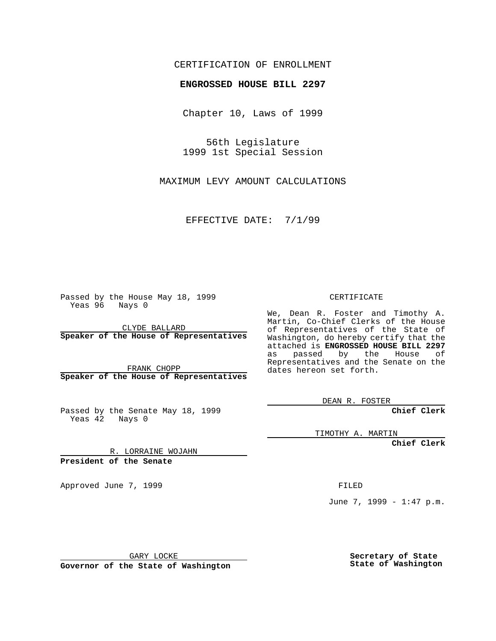## CERTIFICATION OF ENROLLMENT

## **ENGROSSED HOUSE BILL 2297**

Chapter 10, Laws of 1999

56th Legislature 1999 1st Special Session

MAXIMUM LEVY AMOUNT CALCULATIONS

EFFECTIVE DATE: 7/1/99

Passed by the House May 18, 1999 Yeas 96 Nays 0

CLYDE BALLARD **Speaker of the House of Representatives**

FRANK CHOPP **Speaker of the House of Representatives**

Passed by the Senate May 18, 1999 Yeas 42 Nays 0

CERTIFICATE

We, Dean R. Foster and Timothy A. Martin, Co-Chief Clerks of the House of Representatives of the State of Washington, do hereby certify that the attached is **ENGROSSED HOUSE BILL 2297** as passed by the House of Representatives and the Senate on the dates hereon set forth.

DEAN R. FOSTER

**Chief Clerk**

TIMOTHY A. MARTIN

**Chief Clerk**

R. LORRAINE WOJAHN **President of the Senate**

Approved June 7, 1999 **FILED** 

June 7, 1999 - 1:47 p.m.

GARY LOCKE

**Governor of the State of Washington**

**Secretary of State State of Washington**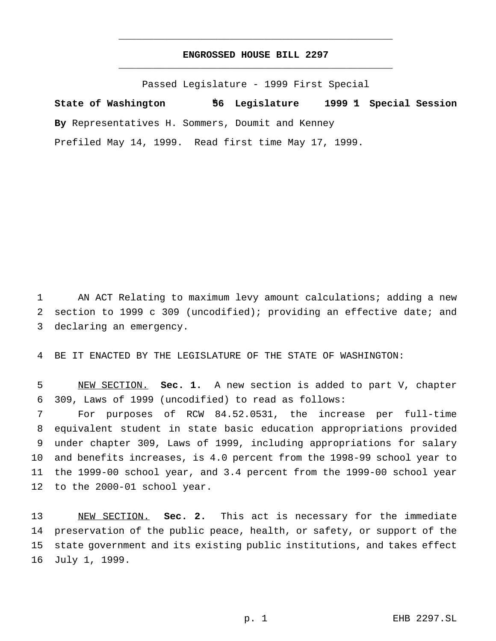## **ENGROSSED HOUSE BILL 2297** \_\_\_\_\_\_\_\_\_\_\_\_\_\_\_\_\_\_\_\_\_\_\_\_\_\_\_\_\_\_\_\_\_\_\_\_\_\_\_\_\_\_\_\_\_\_\_

\_\_\_\_\_\_\_\_\_\_\_\_\_\_\_\_\_\_\_\_\_\_\_\_\_\_\_\_\_\_\_\_\_\_\_\_\_\_\_\_\_\_\_\_\_\_\_

Passed Legislature - 1999 First Special

**State of Washington 56th Legislature 1999 1st Special Session By** Representatives H. Sommers, Doumit and Kenney Prefiled May 14, 1999. Read first time May 17, 1999.

 AN ACT Relating to maximum levy amount calculations; adding a new section to 1999 c 309 (uncodified); providing an effective date; and declaring an emergency.

BE IT ENACTED BY THE LEGISLATURE OF THE STATE OF WASHINGTON:

 NEW SECTION. **Sec. 1.** A new section is added to part V, chapter 309, Laws of 1999 (uncodified) to read as follows:

 For purposes of RCW 84.52.0531, the increase per full-time equivalent student in state basic education appropriations provided under chapter 309, Laws of 1999, including appropriations for salary and benefits increases, is 4.0 percent from the 1998-99 school year to the 1999-00 school year, and 3.4 percent from the 1999-00 school year to the 2000-01 school year.

 NEW SECTION. **Sec. 2.** This act is necessary for the immediate preservation of the public peace, health, or safety, or support of the state government and its existing public institutions, and takes effect July 1, 1999.